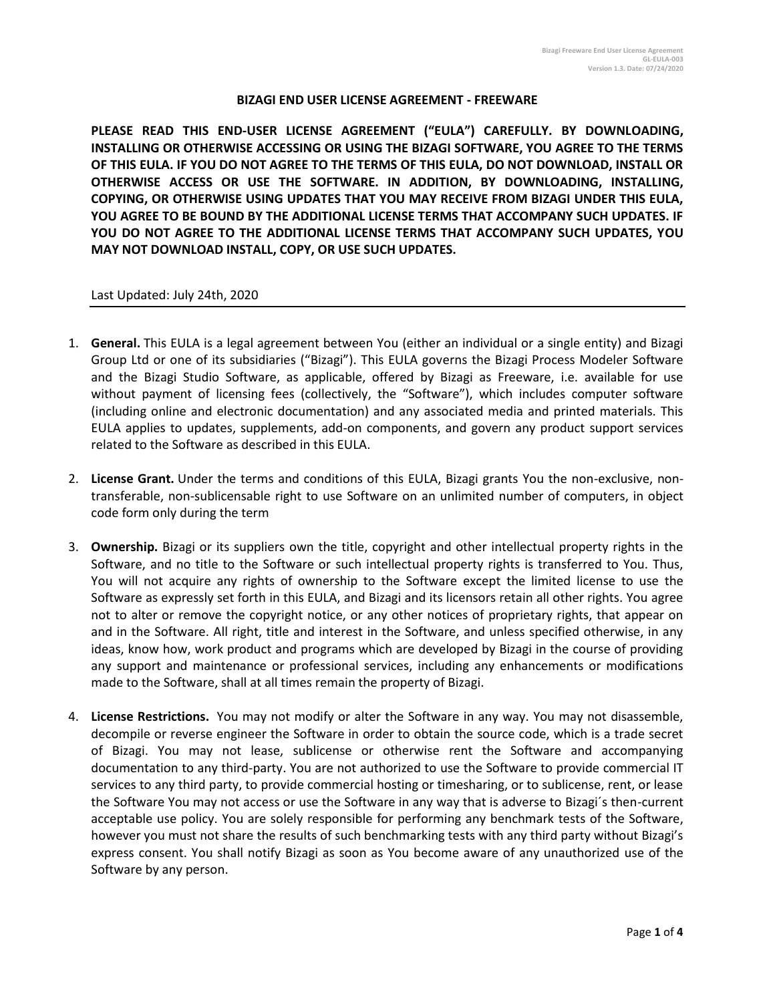### **BIZAGI END USER LICENSE AGREEMENT - FREEWARE**

**PLEASE READ THIS END-USER LICENSE AGREEMENT ("EULA") CAREFULLY. BY DOWNLOADING, INSTALLING OR OTHERWISE ACCESSING OR USING THE BIZAGI SOFTWARE, YOU AGREE TO THE TERMS OF THIS EULA. IF YOU DO NOT AGREE TO THE TERMS OF THIS EULA, DO NOT DOWNLOAD, INSTALL OR OTHERWISE ACCESS OR USE THE SOFTWARE. IN ADDITION, BY DOWNLOADING, INSTALLING, COPYING, OR OTHERWISE USING UPDATES THAT YOU MAY RECEIVE FROM BIZAGI UNDER THIS EULA, YOU AGREE TO BE BOUND BY THE ADDITIONAL LICENSE TERMS THAT ACCOMPANY SUCH UPDATES. IF YOU DO NOT AGREE TO THE ADDITIONAL LICENSE TERMS THAT ACCOMPANY SUCH UPDATES, YOU MAY NOT DOWNLOAD INSTALL, COPY, OR USE SUCH UPDATES.** 

### Last Updated: July 24th, 2020

- 1. **General.** This EULA is a legal agreement between You (either an individual or a single entity) and Bizagi Group Ltd or one of its subsidiaries ("Bizagi"). This EULA governs the Bizagi Process Modeler Software and the Bizagi Studio Software, as applicable, offered by Bizagi as Freeware, i.e. available for use without payment of licensing fees (collectively, the "Software"), which includes computer software (including online and electronic documentation) and any associated media and printed materials. This EULA applies to updates, supplements, add-on components, and govern any product support services related to the Software as described in this EULA.
- 2. **License Grant.** Under the terms and conditions of this EULA, Bizagi grants You the non-exclusive, nontransferable, non-sublicensable right to use Software on an unlimited number of computers, in object code form only during the term
- 3. **Ownership.** Bizagi or its suppliers own the title, copyright and other intellectual property rights in the Software, and no title to the Software or such intellectual property rights is transferred to You. Thus, You will not acquire any rights of ownership to the Software except the limited license to use the Software as expressly set forth in this EULA, and Bizagi and its licensors retain all other rights. You agree not to alter or remove the copyright notice, or any other notices of proprietary rights, that appear on and in the Software. All right, title and interest in the Software, and unless specified otherwise, in any ideas, know how, work product and programs which are developed by Bizagi in the course of providing any support and maintenance or professional services, including any enhancements or modifications made to the Software, shall at all times remain the property of Bizagi.
- 4. **License Restrictions.** You may not modify or alter the Software in any way. You may not disassemble, decompile or reverse engineer the Software in order to obtain the source code, which is a trade secret of Bizagi. You may not lease, sublicense or otherwise rent the Software and accompanying documentation to any third-party. You are not authorized to use the Software to provide commercial IT services to any third party, to provide commercial hosting or timesharing, or to sublicense, rent, or lease the Software You may not access or use the Software in any way that is adverse to Bizagi´s then-current acceptable use policy. You are solely responsible for performing any benchmark tests of the Software, however you must not share the results of such benchmarking tests with any third party without Bizagi's express consent. You shall notify Bizagi as soon as You become aware of any unauthorized use of the Software by any person.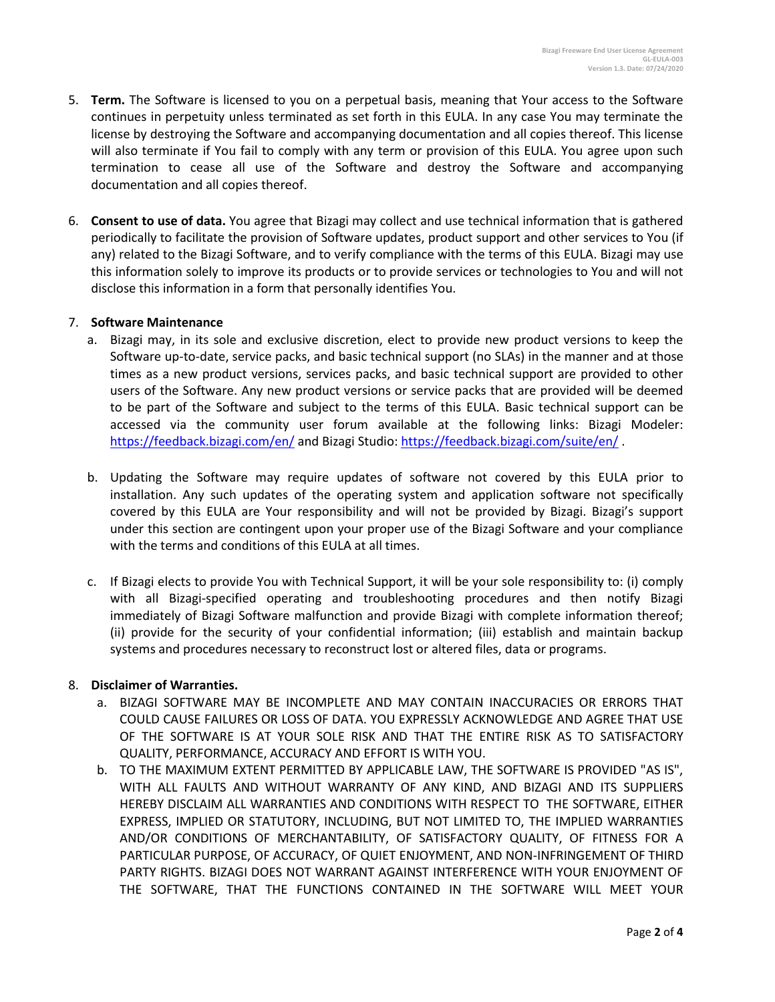- 5. **Term.** The Software is licensed to you on a perpetual basis, meaning that Your access to the Software continues in perpetuity unless terminated as set forth in this EULA. In any case You may terminate the license by destroying the Software and accompanying documentation and all copies thereof. This license will also terminate if You fail to comply with any term or provision of this EULA. You agree upon such termination to cease all use of the Software and destroy the Software and accompanying documentation and all copies thereof.
- 6. **Consent to use of data.** You agree that Bizagi may collect and use technical information that is gathered periodically to facilitate the provision of Software updates, product support and other services to You (if any) related to the Bizagi Software, and to verify compliance with the terms of this EULA. Bizagi may use this information solely to improve its products or to provide services or technologies to You and will not disclose this information in a form that personally identifies You.

## 7. **Software Maintenance**

- a. Bizagi may, in its sole and exclusive discretion, elect to provide new product versions to keep the Software up-to-date, service packs, and basic technical support (no SLAs) in the manner and at those times as a new product versions, services packs, and basic technical support are provided to other users of the Software. Any new product versions or service packs that are provided will be deemed to be part of the Software and subject to the terms of this EULA. Basic technical support can be accessed via the community user forum available at the following links: Bizagi Modeler: <https://feedback.bizagi.com/en/> and Bizagi Studio:<https://feedback.bizagi.com/suite/en/> .
- b. Updating the Software may require updates of software not covered by this EULA prior to installation. Any such updates of the operating system and application software not specifically covered by this EULA are Your responsibility and will not be provided by Bizagi. Bizagi's support under this section are contingent upon your proper use of the Bizagi Software and your compliance with the terms and conditions of this EULA at all times.
- c. If Bizagi elects to provide You with Technical Support, it will be your sole responsibility to: (i) comply with all Bizagi-specified operating and troubleshooting procedures and then notify Bizagi immediately of Bizagi Software malfunction and provide Bizagi with complete information thereof; (ii) provide for the security of your confidential information; (iii) establish and maintain backup systems and procedures necessary to reconstruct lost or altered files, data or programs.

# 8. **Disclaimer of Warranties.**

- a. BIZAGI SOFTWARE MAY BE INCOMPLETE AND MAY CONTAIN INACCURACIES OR ERRORS THAT COULD CAUSE FAILURES OR LOSS OF DATA. YOU EXPRESSLY ACKNOWLEDGE AND AGREE THAT USE OF THE SOFTWARE IS AT YOUR SOLE RISK AND THAT THE ENTIRE RISK AS TO SATISFACTORY QUALITY, PERFORMANCE, ACCURACY AND EFFORT IS WITH YOU.
- b. TO THE MAXIMUM EXTENT PERMITTED BY APPLICABLE LAW, THE SOFTWARE IS PROVIDED "AS IS", WITH ALL FAULTS AND WITHOUT WARRANTY OF ANY KIND, AND BIZAGI AND ITS SUPPLIERS HEREBY DISCLAIM ALL WARRANTIES AND CONDITIONS WITH RESPECT TO THE SOFTWARE, EITHER EXPRESS, IMPLIED OR STATUTORY, INCLUDING, BUT NOT LIMITED TO, THE IMPLIED WARRANTIES AND/OR CONDITIONS OF MERCHANTABILITY, OF SATISFACTORY QUALITY, OF FITNESS FOR A PARTICULAR PURPOSE, OF ACCURACY, OF QUIET ENJOYMENT, AND NON-INFRINGEMENT OF THIRD PARTY RIGHTS. BIZAGI DOES NOT WARRANT AGAINST INTERFERENCE WITH YOUR ENJOYMENT OF THE SOFTWARE, THAT THE FUNCTIONS CONTAINED IN THE SOFTWARE WILL MEET YOUR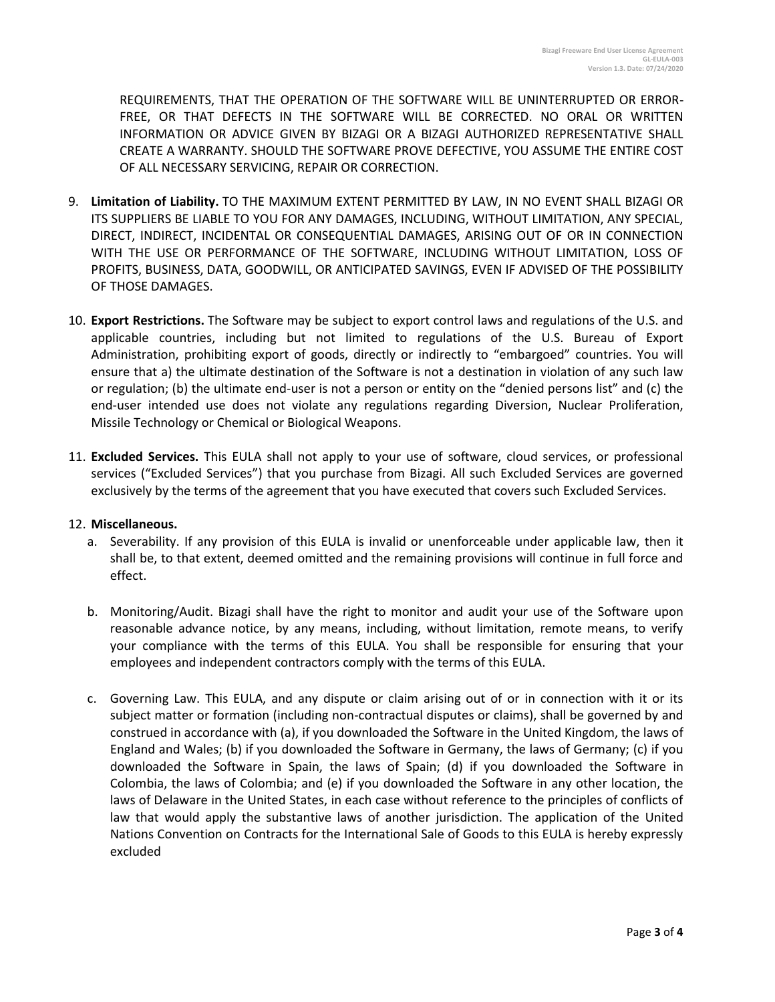REQUIREMENTS, THAT THE OPERATION OF THE SOFTWARE WILL BE UNINTERRUPTED OR ERROR-FREE, OR THAT DEFECTS IN THE SOFTWARE WILL BE CORRECTED. NO ORAL OR WRITTEN INFORMATION OR ADVICE GIVEN BY BIZAGI OR A BIZAGI AUTHORIZED REPRESENTATIVE SHALL CREATE A WARRANTY. SHOULD THE SOFTWARE PROVE DEFECTIVE, YOU ASSUME THE ENTIRE COST OF ALL NECESSARY SERVICING, REPAIR OR CORRECTION.

- 9. **Limitation of Liability.** TO THE MAXIMUM EXTENT PERMITTED BY LAW, IN NO EVENT SHALL BIZAGI OR ITS SUPPLIERS BE LIABLE TO YOU FOR ANY DAMAGES, INCLUDING, WITHOUT LIMITATION, ANY SPECIAL, DIRECT, INDIRECT, INCIDENTAL OR CONSEQUENTIAL DAMAGES, ARISING OUT OF OR IN CONNECTION WITH THE USE OR PERFORMANCE OF THE SOFTWARE, INCLUDING WITHOUT LIMITATION, LOSS OF PROFITS, BUSINESS, DATA, GOODWILL, OR ANTICIPATED SAVINGS, EVEN IF ADVISED OF THE POSSIBILITY OF THOSE DAMAGES.
- 10. **Export Restrictions.** The Software may be subject to export control laws and regulations of the U.S. and applicable countries, including but not limited to regulations of the U.S. Bureau of Export Administration, prohibiting export of goods, directly or indirectly to "embargoed" countries. You will ensure that a) the ultimate destination of the Software is not a destination in violation of any such law or regulation; (b) the ultimate end-user is not a person or entity on the "denied persons list" and (c) the end-user intended use does not violate any regulations regarding Diversion, Nuclear Proliferation, Missile Technology or Chemical or Biological Weapons.
- 11. **Excluded Services.** This EULA shall not apply to your use of software, cloud services, or professional services ("Excluded Services") that you purchase from Bizagi. All such Excluded Services are governed exclusively by the terms of the agreement that you have executed that covers such Excluded Services.

# 12. **Miscellaneous.**

- a. Severability. If any provision of this EULA is invalid or unenforceable under applicable law, then it shall be, to that extent, deemed omitted and the remaining provisions will continue in full force and effect.
- b. Monitoring/Audit. Bizagi shall have the right to monitor and audit your use of the Software upon reasonable advance notice, by any means, including, without limitation, remote means, to verify your compliance with the terms of this EULA. You shall be responsible for ensuring that your employees and independent contractors comply with the terms of this EULA.
- c. Governing Law. This EULA, and any dispute or claim arising out of or in connection with it or its subject matter or formation (including non-contractual disputes or claims), shall be governed by and construed in accordance with (a), if you downloaded the Software in the United Kingdom, the laws of England and Wales; (b) if you downloaded the Software in Germany, the laws of Germany; (c) if you downloaded the Software in Spain, the laws of Spain; (d) if you downloaded the Software in Colombia, the laws of Colombia; and (e) if you downloaded the Software in any other location, the laws of Delaware in the United States, in each case without reference to the principles of conflicts of law that would apply the substantive laws of another jurisdiction. The application of the United Nations Convention on Contracts for the International Sale of Goods to this EULA is hereby expressly excluded